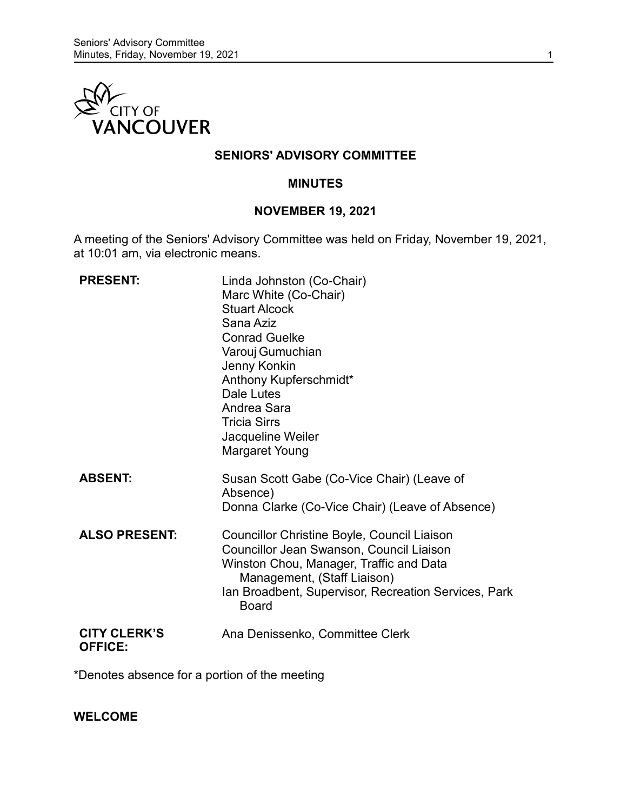

## **SENIORS' ADVISORY COMMITTEE**

#### **MINUTES**

#### **NOVEMBER 19, 2021**

A meeting of the Seniors' Advisory Committee was held on Friday, November 19, 2021, at 10:01 am, via electronic means.

| <b>PRESENT:</b>                       | Linda Johnston (Co-Chair)<br>Marc White (Co-Chair)<br><b>Stuart Alcock</b><br>Sana Aziz<br><b>Conrad Guelke</b><br>Varouj Gumuchian<br>Jenny Konkin<br>Anthony Kupferschmidt*<br>Dale Lutes<br>Andrea Sara<br><b>Tricia Sirrs</b><br>Jacqueline Weiler<br><b>Margaret Young</b> |
|---------------------------------------|---------------------------------------------------------------------------------------------------------------------------------------------------------------------------------------------------------------------------------------------------------------------------------|
| <b>ABSENT:</b>                        | Susan Scott Gabe (Co-Vice Chair) (Leave of<br>Absence)<br>Donna Clarke (Co-Vice Chair) (Leave of Absence)                                                                                                                                                                       |
| <b>ALSO PRESENT:</b>                  | <b>Councillor Christine Boyle, Council Liaison</b><br>Councillor Jean Swanson, Council Liaison<br>Winston Chou, Manager, Traffic and Data<br>Management, (Staff Liaison)<br>Ian Broadbent, Supervisor, Recreation Services, Park<br><b>Board</b>                                |
| <b>CITY CLERK'S</b><br><b>OFFICE:</b> | Ana Denissenko, Committee Clerk                                                                                                                                                                                                                                                 |

\*Denotes absence for a portion of the meeting

**WELCOME**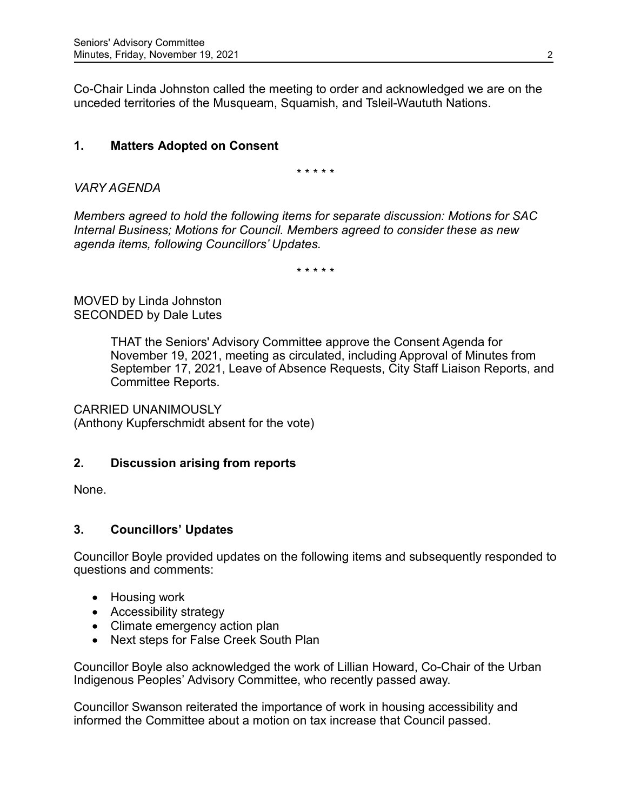Co-Chair Linda Johnston called the meeting to order and acknowledged we are on the unceded territories of the Musqueam, Squamish, and Tsleil-Waututh Nations.

# **1. Matters Adopted on Consent**

\* \* \* \* \*

*VARY AGENDA*

*Members agreed to hold the following items for separate discussion: Motions for SAC Internal Business; Motions for Council. Members agreed to consider these as new agenda items, following Councillors' Updates.*

\* \* \* \* \*

MOVED by Linda Johnston SECONDED by Dale Lutes

> THAT the Seniors' Advisory Committee approve the Consent Agenda for November 19, 2021, meeting as circulated, including Approval of Minutes from September 17, 2021, Leave of Absence Requests, City Staff Liaison Reports, and Committee Reports.

CARRIED UNANIMOUSLY (Anthony Kupferschmidt absent for the vote)

## **2. Discussion arising from reports**

None.

## **3. Councillors' Updates**

Councillor Boyle provided updates on the following items and subsequently responded to questions and comments:

- Housing work
- Accessibility strategy
- Climate emergency action plan
- Next steps for False Creek South Plan

Councillor Boyle also acknowledged the work of Lillian Howard, Co-Chair of the Urban Indigenous Peoples' Advisory Committee, who recently passed away.

Councillor Swanson reiterated the importance of work in housing accessibility and informed the Committee about a motion on tax increase that Council passed.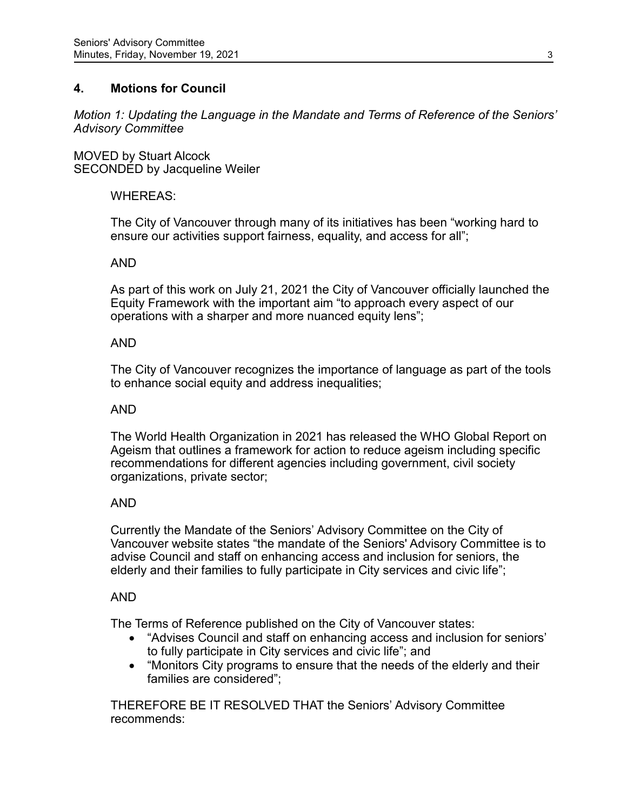## **4. Motions for Council**

*Motion 1: Updating the Language in the Mandate and Terms of Reference of the Seniors' Advisory Committee*

MOVED by Stuart Alcock SECONDED by Jacqueline Weiler

## WHEREAS:

The City of Vancouver through many of its initiatives has been "working hard to ensure our activities support fairness, equality, and access for all";

#### AND

As part of this work on July 21, 2021 the City of Vancouver officially launched the Equity Framework with the important aim "to approach every aspect of our operations with a sharper and more nuanced equity lens";

#### AND

The City of Vancouver recognizes the importance of language as part of the tools to enhance social equity and address inequalities;

#### AND

The World Health Organization in 2021 has released the WHO Global Report on Ageism that outlines a framework for action to reduce ageism including specific recommendations for different agencies including government, civil society organizations, private sector;

#### AND

Currently the Mandate of the Seniors' Advisory Committee on the City of Vancouver website states "the mandate of the Seniors' Advisory Committee is to advise Council and staff on enhancing access and inclusion for seniors, the elderly and their families to fully participate in City services and civic life";

#### AND

The Terms of Reference published on the City of Vancouver states:

- "Advises Council and staff on enhancing access and inclusion for seniors' to fully participate in City services and civic life"; and
- "Monitors City programs to ensure that the needs of the elderly and their families are considered";

THEREFORE BE IT RESOLVED THAT the Seniors' Advisory Committee recommends: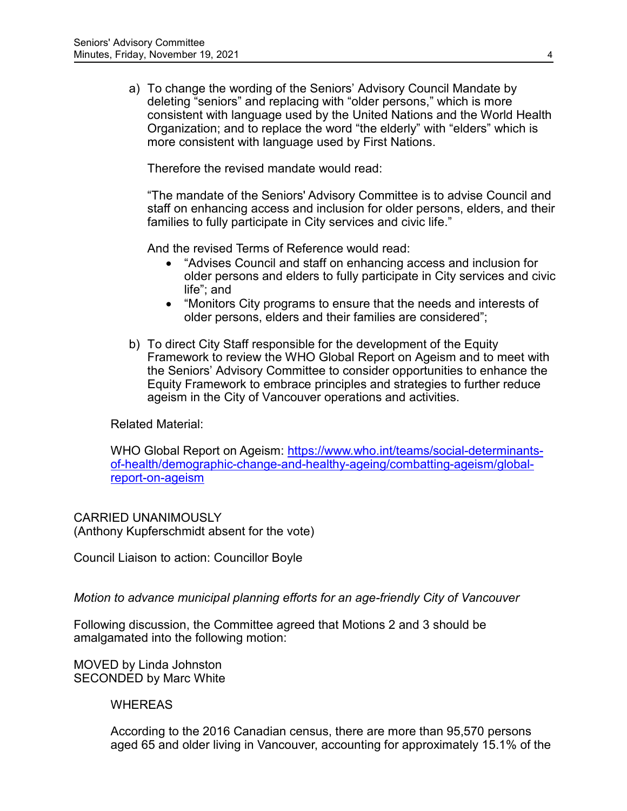a) To change the wording of the Seniors' Advisory Council Mandate by deleting "seniors" and replacing with "older persons," which is more consistent with language used by the United Nations and the World Health Organization; and to replace the word "the elderly" with "elders" which is more consistent with language used by First Nations.

Therefore the revised mandate would read:

"The mandate of the Seniors' Advisory Committee is to advise Council and staff on enhancing access and inclusion for older persons, elders, and their families to fully participate in City services and civic life."

And the revised Terms of Reference would read:

- "Advises Council and staff on enhancing access and inclusion for older persons and elders to fully participate in City services and civic life"; and
- "Monitors City programs to ensure that the needs and interests of older persons, elders and their families are considered";
- b) To direct City Staff responsible for the development of the Equity Framework to review the WHO Global Report on Ageism and to meet with the Seniors' Advisory Committee to consider opportunities to enhance the Equity Framework to embrace principles and strategies to further reduce ageism in the City of Vancouver operations and activities.

Related Material:

WHO Global Report on Ageism: [https://www.who.int/teams/social-determinants](https://www.who.int/teams/social-determinants-of-health/demographic-change-and-healthy-ageing/combatting-ageism/global-report-on-ageism)[of-health/demographic-change-and-healthy-ageing/combatting-ageism/global](https://www.who.int/teams/social-determinants-of-health/demographic-change-and-healthy-ageing/combatting-ageism/global-report-on-ageism)[report-on-ageism](https://www.who.int/teams/social-determinants-of-health/demographic-change-and-healthy-ageing/combatting-ageism/global-report-on-ageism)

CARRIED UNANIMOUSLY (Anthony Kupferschmidt absent for the vote)

Council Liaison to action: Councillor Boyle

*Motion to advance municipal planning efforts for an age-friendly City of Vancouver*

Following discussion, the Committee agreed that Motions 2 and 3 should be amalgamated into the following motion:

MOVED by Linda Johnston SECONDED by Marc White

WHEREAS

According to the 2016 Canadian census, there are more than 95,570 persons aged 65 and older living in Vancouver, accounting for approximately 15.1% of the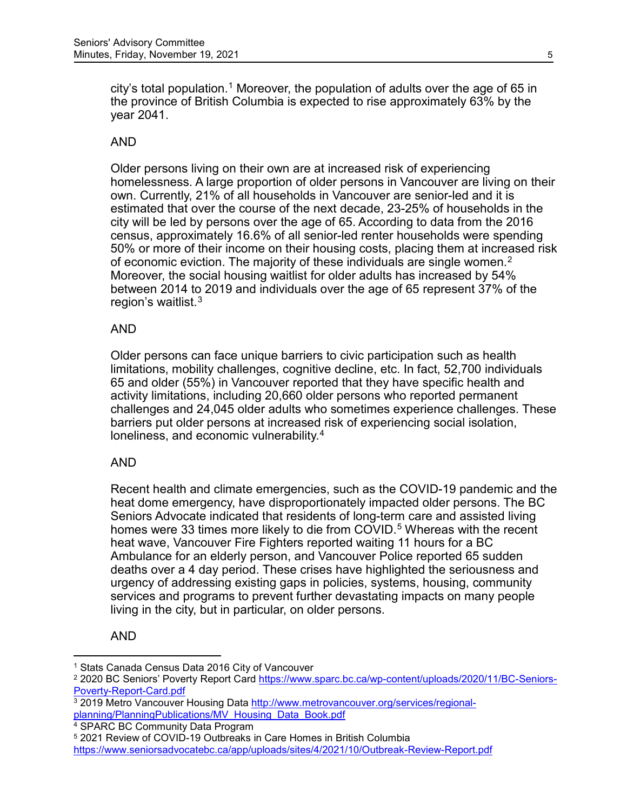city's total population.<sup>[1](#page-4-0)</sup> Moreover, the population of adults over the age of 65 in the province of British Columbia is expected to rise approximately 63% by the year 2041.

## AND

Older persons living on their own are at increased risk of experiencing homelessness. A large proportion of older persons in Vancouver are living on their own. Currently, 21% of all households in Vancouver are senior-led and it is estimated that over the course of the next decade, 23-25% of households in the city will be led by persons over the age of 65. According to data from the 2016 census, approximately 16.6% of all senior-led renter households were spending 50% or more of their income on their housing costs, placing them at increased risk of economic eviction. The majority of these individuals are single women.<sup>[2](#page-4-1)</sup> Moreover, the social housing waitlist for older adults has increased by 54% between 2014 to 2019 and individuals over the age of 65 represent 37% of the region's waitlist.[3](#page-4-2)

#### AND

Older persons can face unique barriers to civic participation such as health limitations, mobility challenges, cognitive decline, etc. In fact, 52,700 individuals 65 and older (55%) in Vancouver reported that they have specific health and activity limitations, including 20,660 older persons who reported permanent challenges and 24,045 older adults who sometimes experience challenges. These barriers put older persons at increased risk of experiencing social isolation, loneliness, and economic vulnerability.<sup>[4](#page-4-3)</sup>

#### AND

Recent health and climate emergencies, such as the COVID-19 pandemic and the heat dome emergency, have disproportionately impacted older persons. The BC Seniors Advocate indicated that residents of long-term care and assisted living homes were 33 times more likely to die from COVID.<sup>[5](#page-4-4)</sup> Whereas with the recent heat wave, Vancouver Fire Fighters reported waiting 11 hours for a BC Ambulance for an elderly person, and Vancouver Police reported 65 sudden deaths over a 4 day period. These crises have highlighted the seriousness and urgency of addressing existing gaps in policies, systems, housing, community services and programs to prevent further devastating impacts on many people living in the city, but in particular, on older persons.

## AND

<span id="page-4-0"></span><sup>1</sup> Stats Canada Census Data 2016 City of Vancouver

<span id="page-4-1"></span><sup>&</sup>lt;sup>2</sup> 2020 BC Seniors' Poverty Report Card [https://www.sparc.bc.ca/wp-content/uploads/2020/11/BC-Seniors-](https://www.sparc.bc.ca/wp-content/uploads/2020/11/BC-Seniors-Poverty-Report-Card.pdf)[Poverty-Report-Card.pdf](https://www.sparc.bc.ca/wp-content/uploads/2020/11/BC-Seniors-Poverty-Report-Card.pdf)

<span id="page-4-2"></span><sup>3</sup> 2019 Metro Vancouver Housing Data [http://www.metrovancouver.org/services/regional](http://www.metrovancouver.org/services/regional-planning/PlanningPublications/MV_Housing_Data_Book.pdf)[planning/PlanningPublications/MV\\_Housing\\_Data\\_Book.pdf](http://www.metrovancouver.org/services/regional-planning/PlanningPublications/MV_Housing_Data_Book.pdf)

<span id="page-4-3"></span><sup>4</sup> SPARC BC Community Data Program

<sup>5</sup> 2021 Review of COVID-19 Outbreaks in Care Homes in British Columbia

<span id="page-4-4"></span><https://www.seniorsadvocatebc.ca/app/uploads/sites/4/2021/10/Outbreak-Review-Report.pdf>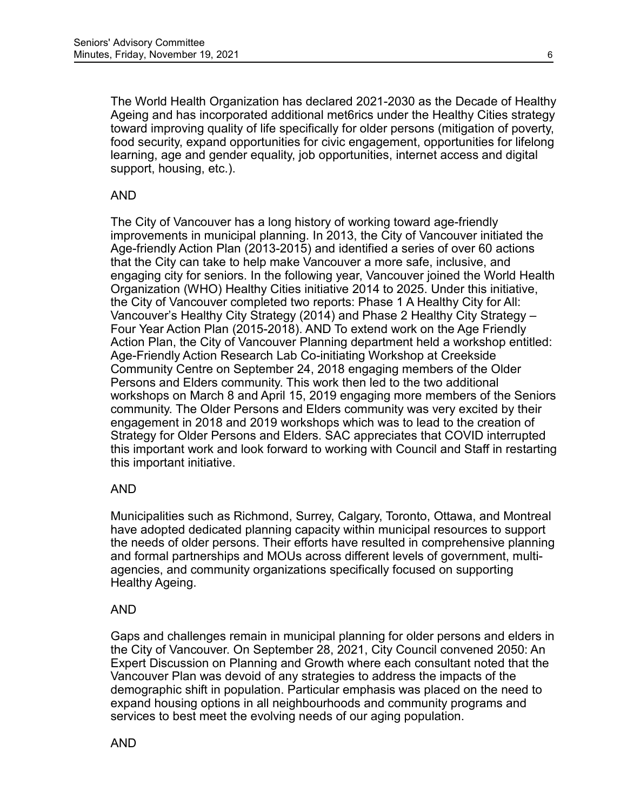The World Health Organization has declared 2021-2030 as the Decade of Healthy Ageing and has incorporated additional met6rics under the Healthy Cities strategy toward improving quality of life specifically for older persons (mitigation of poverty, food security, expand opportunities for civic engagement, opportunities for lifelong learning, age and gender equality, job opportunities, internet access and digital support, housing, etc.).

## AND

The City of Vancouver has a long history of working toward age-friendly improvements in municipal planning. In 2013, the City of Vancouver initiated the Age-friendly Action Plan (2013-2015) and identified a series of over 60 actions that the City can take to help make Vancouver a more safe, inclusive, and engaging city for seniors. In the following year, Vancouver joined the World Health Organization (WHO) Healthy Cities initiative 2014 to 2025. Under this initiative, the City of Vancouver completed two reports: Phase 1 A Healthy City for All: Vancouver's Healthy City Strategy (2014) and Phase 2 Healthy City Strategy – Four Year Action Plan (2015-2018). AND To extend work on the Age Friendly Action Plan, the City of Vancouver Planning department held a workshop entitled: Age-Friendly Action Research Lab Co-initiating Workshop at Creekside Community Centre on September 24, 2018 engaging members of the Older Persons and Elders community. This work then led to the two additional workshops on March 8 and April 15, 2019 engaging more members of the Seniors community. The Older Persons and Elders community was very excited by their engagement in 2018 and 2019 workshops which was to lead to the creation of Strategy for Older Persons and Elders. SAC appreciates that COVID interrupted this important work and look forward to working with Council and Staff in restarting this important initiative.

## AND

Municipalities such as Richmond, Surrey, Calgary, Toronto, Ottawa, and Montreal have adopted dedicated planning capacity within municipal resources to support the needs of older persons. Their efforts have resulted in comprehensive planning and formal partnerships and MOUs across different levels of government, multiagencies, and community organizations specifically focused on supporting Healthy Ageing.

## AND

Gaps and challenges remain in municipal planning for older persons and elders in the City of Vancouver. On September 28, 2021, City Council convened 2050: An Expert Discussion on Planning and Growth where each consultant noted that the Vancouver Plan was devoid of any strategies to address the impacts of the demographic shift in population. Particular emphasis was placed on the need to expand housing options in all neighbourhoods and community programs and services to best meet the evolving needs of our aging population.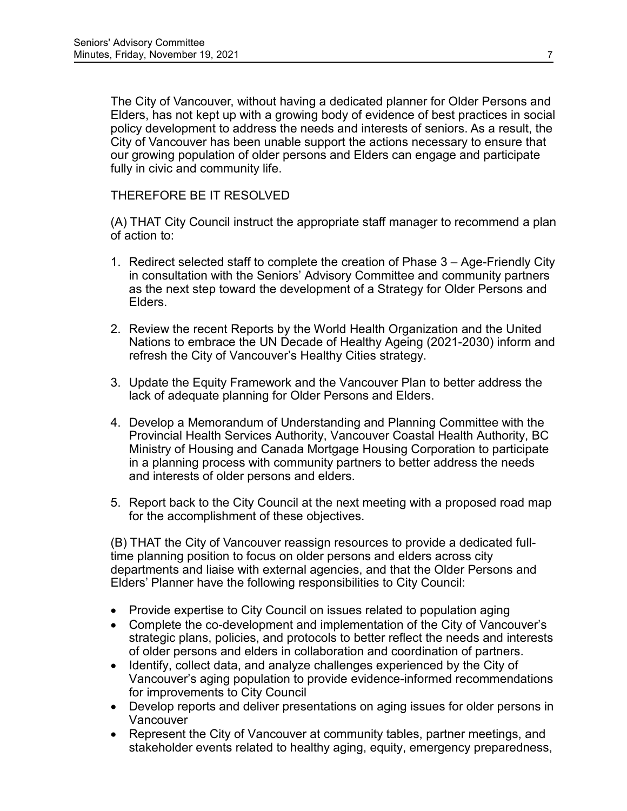The City of Vancouver, without having a dedicated planner for Older Persons and Elders, has not kept up with a growing body of evidence of best practices in social policy development to address the needs and interests of seniors. As a result, the City of Vancouver has been unable support the actions necessary to ensure that our growing population of older persons and Elders can engage and participate fully in civic and community life.

THEREFORE BE IT RESOLVED

(A) THAT City Council instruct the appropriate staff manager to recommend a plan of action to:

- 1. Redirect selected staff to complete the creation of Phase 3 Age-Friendly City in consultation with the Seniors' Advisory Committee and community partners as the next step toward the development of a Strategy for Older Persons and Elders.
- 2. Review the recent Reports by the World Health Organization and the United Nations to embrace the UN Decade of Healthy Ageing (2021-2030) inform and refresh the City of Vancouver's Healthy Cities strategy.
- 3. Update the Equity Framework and the Vancouver Plan to better address the lack of adequate planning for Older Persons and Elders.
- 4. Develop a Memorandum of Understanding and Planning Committee with the Provincial Health Services Authority, Vancouver Coastal Health Authority, BC Ministry of Housing and Canada Mortgage Housing Corporation to participate in a planning process with community partners to better address the needs and interests of older persons and elders.
- 5. Report back to the City Council at the next meeting with a proposed road map for the accomplishment of these objectives.

(B) THAT the City of Vancouver reassign resources to provide a dedicated fulltime planning position to focus on older persons and elders across city departments and liaise with external agencies, and that the Older Persons and Elders' Planner have the following responsibilities to City Council:

- Provide expertise to City Council on issues related to population aging
- Complete the co-development and implementation of the City of Vancouver's strategic plans, policies, and protocols to better reflect the needs and interests of older persons and elders in collaboration and coordination of partners.
- Identify, collect data, and analyze challenges experienced by the City of Vancouver's aging population to provide evidence-informed recommendations for improvements to City Council
- Develop reports and deliver presentations on aging issues for older persons in Vancouver
- Represent the City of Vancouver at community tables, partner meetings, and stakeholder events related to healthy aging, equity, emergency preparedness,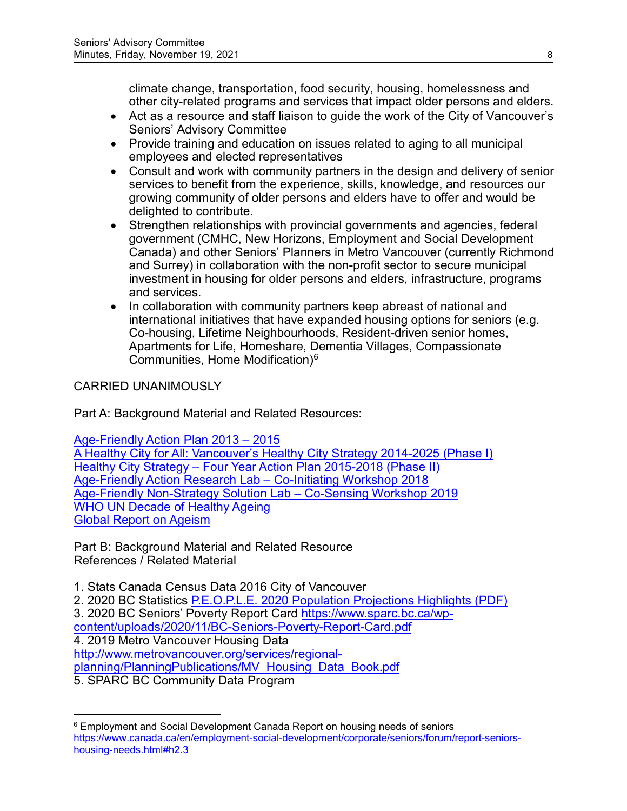climate change, transportation, food security, housing, homelessness and other city-related programs and services that impact older persons and elders.

- Act as a resource and staff liaison to guide the work of the City of Vancouver's Seniors' Advisory Committee
- Provide training and education on issues related to aging to all municipal employees and elected representatives
- Consult and work with community partners in the design and delivery of senior services to benefit from the experience, skills, knowledge, and resources our growing community of older persons and elders have to offer and would be delighted to contribute.
- Strengthen relationships with provincial governments and agencies, federal government (CMHC, New Horizons, Employment and Social Development Canada) and other Seniors' Planners in Metro Vancouver (currently Richmond and Surrey) in collaboration with the non-profit sector to secure municipal investment in housing for older persons and elders, infrastructure, programs and services.
- In collaboration with community partners keep abreast of national and international initiatives that have expanded housing options for seniors (e.g. Co-housing, Lifetime Neighbourhoods, Resident-driven senior homes, Apartments for Life, Homeshare, Dementia Villages, Compassionate Communities, Home Modification)[6](#page-7-0)

# CARRIED UNANIMOUSLY

Part A: Background Material and Related Resources:

[Age-Friendly Action Plan 2013 –](https://vancouver.ca/files/cov/age-friendly-action-plan.pdf) 2015

[A Healthy City for All: Vancouver's Healthy City Strategy 2014-2025 \(Phase I\)](https://council.vancouver.ca/20141029/documents/ptec1_appendix_a_final.pdf) Healthy City Strategy – [Four Year Action Plan 2015-2018 \(Phase II\)](https://vancouver.ca/files/cov/Healthy-City-Strategy-Phase-2-Action-Plan-2015-2018.pdf) [Age-Friendly Action Research Lab –](https://vancouver.ca/files/cov/Healthy-City-Strategy-Phase-2-Action-Plan-2015-2018.pdf) Co-Initiating Workshop 2018 [Age-Friendly Non-Strategy Solution Lab –](https://vancouver.ca/files/cov/co-sensing-stage-age-friendly.pdf) Co-Sensing Workshop 2019 [WHO UN Decade of Healthy Ageing](https://cdn.who.int/media/docs/default-source/decade-of-healthy-ageing/final-decade-proposal/decade-proposal-final-apr2020-en.pdf?sfvrsn=b4b75ebc_25&download=true) [Global Report on Ageism](https://cdn.who.int/media/docs/default-source/decade-of-healthy-ageing/final-decade-proposal/decade-proposal-final-apr2020-en.pdf?sfvrsn=b4b75ebc_25&download=true)

Part B: Background Material and Related Resource References / Related Material

1. Stats Canada Census Data 2016 City of Vancouver

2. 2020 BC Statistics [P.E.O.P.L.E. 2020 Population Projections Highlights \(PDF\)](https://cdn.who.int/media/docs/default-source/decade-of-healthy-ageing/final-decade-proposal/decade-proposal-final-apr2020-en.pdf?sfvrsn=b4b75ebc_25&download=true)

- 3. 2020 BC Seniors' Poverty Report Card [https://www.sparc.bc.ca/wp-](https://www.sparc.bc.ca/wp-content/uploads/2020/11/BC-Seniors-Poverty-Report-Card.pdf)
- [content/uploads/2020/11/BC-Seniors-Poverty-Report-Card.pdf](https://www.sparc.bc.ca/wp-content/uploads/2020/11/BC-Seniors-Poverty-Report-Card.pdf)

4. 2019 Metro Vancouver Housing Data

[http://www.metrovancouver.org/services/regional-](http://www.metrovancouver.org/services/regional-planning/PlanningPublications/MV_Housing_Data_Book.pdf)

[planning/PlanningPublications/MV\\_Housing\\_Data\\_Book.pdf](http://www.metrovancouver.org/services/regional-planning/PlanningPublications/MV_Housing_Data_Book.pdf)

5. SPARC BC Community Data Program

 $\overline{a}$ 

<span id="page-7-0"></span><sup>6</sup> Employment and Social Development Canada Report on housing needs of seniors [https://www.canada.ca/en/employment-social-development/corporate/seniors/forum/report-seniors](https://www.canada.ca/en/employment-social-development/corporate/seniors/forum/report-seniors-housing-needs.html#h2.3)[housing-needs.html#h2.3](https://www.canada.ca/en/employment-social-development/corporate/seniors/forum/report-seniors-housing-needs.html#h2.3)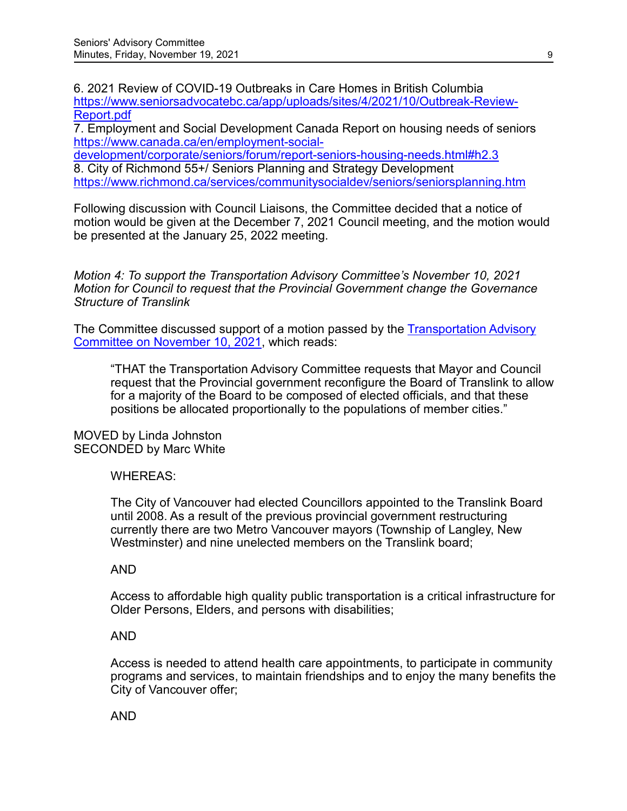6. 2021 Review of COVID-19 Outbreaks in Care Homes in British Columbia [https://www.seniorsadvocatebc.ca/app/uploads/sites/4/2021/10/Outbreak-Review-](https://www.seniorsadvocatebc.ca/app/uploads/sites/4/2021/10/Outbreak-Review-Report.pdf)[Report.pdf](https://www.seniorsadvocatebc.ca/app/uploads/sites/4/2021/10/Outbreak-Review-Report.pdf)

7. Employment and Social Development Canada Report on housing needs of seniors [https://www.canada.ca/en/employment-social-](https://www.canada.ca/en/employment-social-development/corporate/seniors/forum/report-seniors-housing-needs.html#h2.3)

[development/corporate/seniors/forum/report-seniors-housing-needs.html#h2.3](https://www.canada.ca/en/employment-social-development/corporate/seniors/forum/report-seniors-housing-needs.html#h2.3) 8. City of Richmond 55+/ Seniors Planning and Strategy Development <https://www.richmond.ca/services/communitysocialdev/seniors/seniorsplanning.htm>

Following discussion with Council Liaisons, the Committee decided that a notice of motion would be given at the December 7, 2021 Council meeting, and the motion would be presented at the January 25, 2022 meeting.

*Motion 4: To support the Transportation Advisory Committee's November 10, 2021 Motion for Council to request that the Provincial Government change the Governance Structure of Translink*

The Committee discussed support of a motion passed by the [Transportation Advisory](https://vancouver.ca/docs/council/trac20211110min.pdf)  [Committee on November 10, 2021,](https://vancouver.ca/docs/council/trac20211110min.pdf) which reads:

"THAT the Transportation Advisory Committee requests that Mayor and Council request that the Provincial government reconfigure the Board of Translink to allow for a majority of the Board to be composed of elected officials, and that these positions be allocated proportionally to the populations of member cities."

MOVED by Linda Johnston SECONDED by Marc White

## WHEREAS:

The City of Vancouver had elected Councillors appointed to the Translink Board until 2008. As a result of the previous provincial government restructuring currently there are two Metro Vancouver mayors (Township of Langley, New Westminster) and nine unelected members on the Translink board;

## AND

Access to affordable high quality public transportation is a critical infrastructure for Older Persons, Elders, and persons with disabilities;

## AND

Access is needed to attend health care appointments, to participate in community programs and services, to maintain friendships and to enjoy the many benefits the City of Vancouver offer;

## AND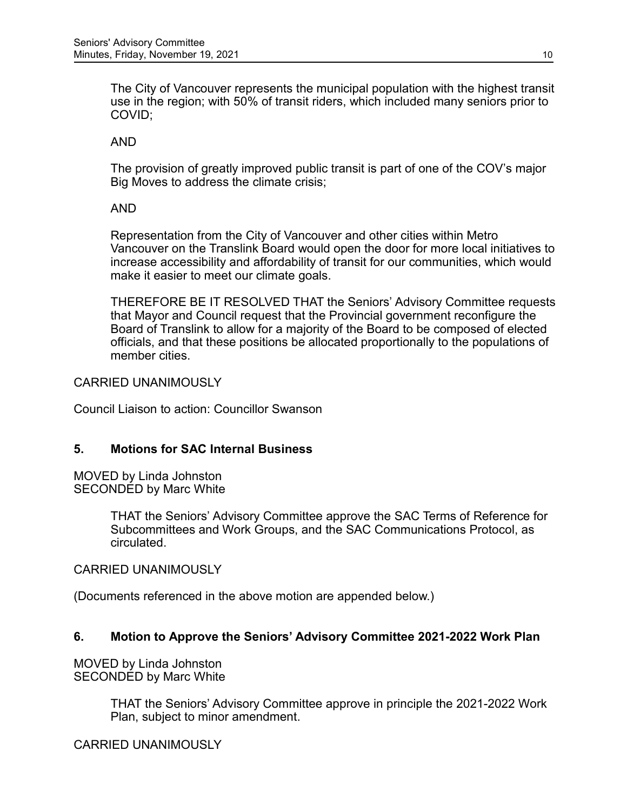The City of Vancouver represents the municipal population with the highest transit use in the region; with 50% of transit riders, which included many seniors prior to COVID;

AND

The provision of greatly improved public transit is part of one of the COV's major Big Moves to address the climate crisis;

AND

Representation from the City of Vancouver and other cities within Metro Vancouver on the Translink Board would open the door for more local initiatives to increase accessibility and affordability of transit for our communities, which would make it easier to meet our climate goals.

THEREFORE BE IT RESOLVED THAT the Seniors' Advisory Committee requests that Mayor and Council request that the Provincial government reconfigure the Board of Translink to allow for a majority of the Board to be composed of elected officials, and that these positions be allocated proportionally to the populations of member cities.

CARRIED UNANIMOUSLY

Council Liaison to action: Councillor Swanson

## **5. Motions for SAC Internal Business**

MOVED by Linda Johnston SECONDED by Marc White

> THAT the Seniors' Advisory Committee approve the SAC Terms of Reference for Subcommittees and Work Groups, and the SAC Communications Protocol, as circulated.

CARRIED UNANIMOUSLY

(Documents referenced in the above motion are appended below.)

## **6. Motion to Approve the Seniors' Advisory Committee 2021-2022 Work Plan**

MOVED by Linda Johnston SECONDED by Marc White

> THAT the Seniors' Advisory Committee approve in principle the 2021-2022 Work Plan, subject to minor amendment.

## CARRIED UNANIMOUSLY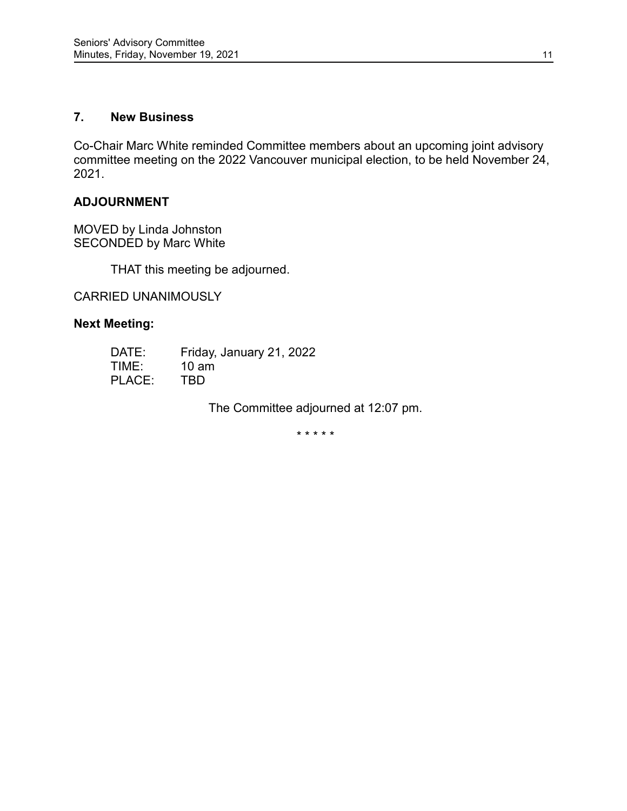#### **7. New Business**

Co-Chair Marc White reminded Committee members about an upcoming joint advisory committee meeting on the 2022 Vancouver municipal election, to be held November 24, 2021.

#### **ADJOURNMENT**

MOVED by Linda Johnston SECONDED by Marc White

THAT this meeting be adjourned.

CARRIED UNANIMOUSLY

## **Next Meeting:**

| DATE:  | Friday, January 21, 2022 |
|--------|--------------------------|
| TIME:  | $10 \text{ am}$          |
| PLACE: | TBD.                     |

The Committee adjourned at 12:07 pm.

\* \* \* \* \*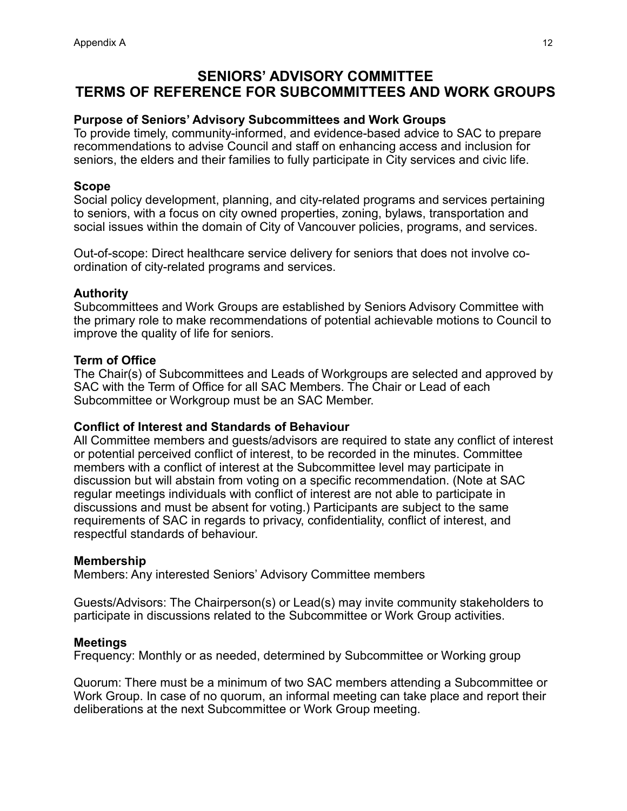# **SENIORS' ADVISORY COMMITTEE TERMS OF REFERENCE FOR SUBCOMMITTEES AND WORK GROUPS**

#### **Purpose of Seniors' Advisory Subcommittees and Work Groups**

To provide timely, community-informed, and evidence-based advice to SAC to prepare recommendations to advise Council and staff on enhancing access and inclusion for seniors, the elders and their families to fully participate in City services and civic life.

#### **Scope**

Social policy development, planning, and city-related programs and services pertaining to seniors, with a focus on city owned properties, zoning, bylaws, transportation and social issues within the domain of City of Vancouver policies, programs, and services.

Out-of-scope: Direct healthcare service delivery for seniors that does not involve coordination of city-related programs and services.

#### **Authority**

Subcommittees and Work Groups are established by Seniors Advisory Committee with the primary role to make recommendations of potential achievable motions to Council to improve the quality of life for seniors.

#### **Term of Office**

The Chair(s) of Subcommittees and Leads of Workgroups are selected and approved by SAC with the Term of Office for all SAC Members. The Chair or Lead of each Subcommittee or Workgroup must be an SAC Member.

#### **Conflict of Interest and Standards of Behaviour**

All Committee members and guests/advisors are required to state any conflict of interest or potential perceived conflict of interest, to be recorded in the minutes. Committee members with a conflict of interest at the Subcommittee level may participate in discussion but will abstain from voting on a specific recommendation. (Note at SAC regular meetings individuals with conflict of interest are not able to participate in discussions and must be absent for voting.) Participants are subject to the same requirements of SAC in regards to privacy, confidentiality, conflict of interest, and respectful standards of behaviour.

#### **Membership**

Members: Any interested Seniors' Advisory Committee members

Guests/Advisors: The Chairperson(s) or Lead(s) may invite community stakeholders to participate in discussions related to the Subcommittee or Work Group activities.

#### **Meetings**

Frequency: Monthly or as needed, determined by Subcommittee or Working group

Quorum: There must be a minimum of two SAC members attending a Subcommittee or Work Group. In case of no quorum, an informal meeting can take place and report their deliberations at the next Subcommittee or Work Group meeting.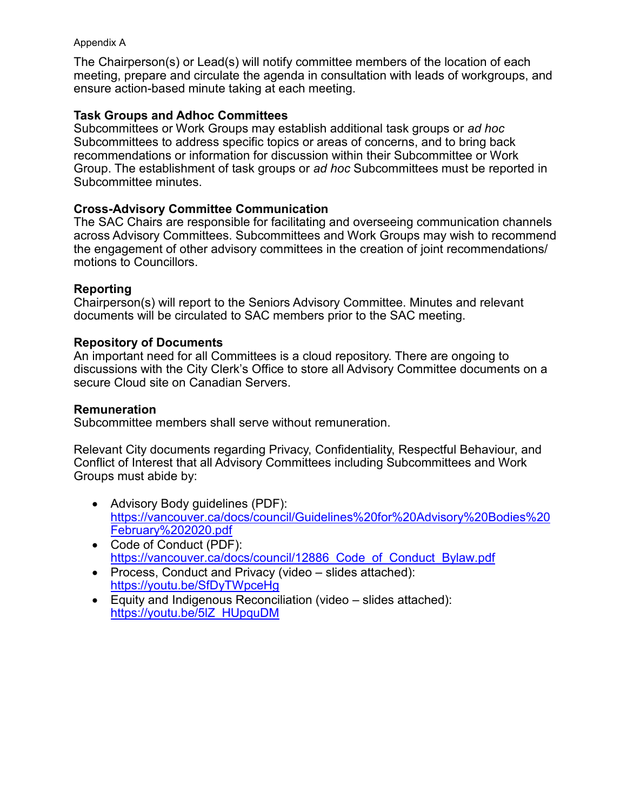#### Appendix A

The Chairperson(s) or Lead(s) will notify committee members of the location of each meeting, prepare and circulate the agenda in consultation with leads of workgroups, and ensure action-based minute taking at each meeting.

## **Task Groups and Adhoc Committees**

Subcommittees or Work Groups may establish additional task groups or *ad hoc* Subcommittees to address specific topics or areas of concerns, and to bring back recommendations or information for discussion within their Subcommittee or Work Group. The establishment of task groups or *ad hoc* Subcommittees must be reported in Subcommittee minutes.

## **Cross-Advisory Committee Communication**

The SAC Chairs are responsible for facilitating and overseeing communication channels across Advisory Committees. Subcommittees and Work Groups may wish to recommend the engagement of other advisory committees in the creation of joint recommendations/ motions to Councillors.

## **Reporting**

Chairperson(s) will report to the Seniors Advisory Committee. Minutes and relevant documents will be circulated to SAC members prior to the SAC meeting.

#### **Repository of Documents**

An important need for all Committees is a cloud repository. There are ongoing to discussions with the City Clerk's Office to store all Advisory Committee documents on a secure Cloud site on Canadian Servers.

#### **Remuneration**

Subcommittee members shall serve without remuneration.

Relevant City documents regarding Privacy, Confidentiality, Respectful Behaviour, and Conflict of Interest that all Advisory Committees including Subcommittees and Work Groups must abide by:

- Advisory Body guidelines (PDF): [https://vancouver.ca/docs/council/Guidelines%20for%20Advisory%20Bodies%20](https://vancouver.ca/docs/council/Guidelines%20for%20Advisory%20Bodies%20February%202020.pdf) [February%202020.pdf](https://vancouver.ca/docs/council/Guidelines%20for%20Advisory%20Bodies%20February%202020.pdf)
- Code of Conduct (PDF): [https://vancouver.ca/docs/council/12886\\_Code\\_of\\_Conduct\\_Bylaw.pdf](https://vancouver.ca/docs/council/12886_Code_of_Conduct_Bylaw.pdf)
- Process, Conduct and Privacy (video slides attached): <https://youtu.be/SfDyTWpceHg>
- Equity and Indigenous Reconciliation (video slides attached): [https://youtu.be/5lZ\\_HUpquDM](https://youtu.be/5lZ_HUpquDM)